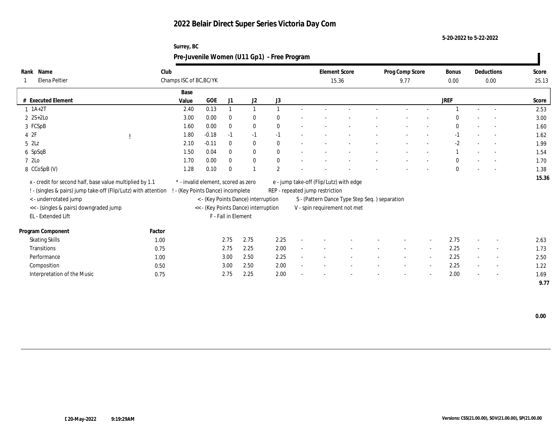**Surrey, BC**

**5-20-2022 to 5-22-2022**

|                                                                |        | Pre-Juvenile Women (U11 Gp1) - Free Program |         |                     |                                      |                |                                         |                                               |                 |                          |              |                          |       |
|----------------------------------------------------------------|--------|---------------------------------------------|---------|---------------------|--------------------------------------|----------------|-----------------------------------------|-----------------------------------------------|-----------------|--------------------------|--------------|--------------------------|-------|
| Rank Name                                                      | Club   |                                             |         |                     |                                      |                | <b>Element Score</b>                    |                                               | Prog Comp Score |                          | <b>Bonus</b> | Deductions               | Score |
| Elena Peltier                                                  |        | Champs ISC of BC, BC/YK                     |         |                     |                                      |                | 15.36                                   |                                               | 9.77            |                          | 0.00         | 0.00                     | 25.13 |
|                                                                |        | Base                                        |         |                     |                                      |                |                                         |                                               |                 |                          |              |                          |       |
| # Executed Element                                             |        | Value                                       | GOE     | J1                  | J2                                   | J3             |                                         |                                               |                 |                          | <b>JREF</b>  |                          | Score |
| $1 \t1A+2T$                                                    |        | 2.40                                        | 0.13    |                     |                                      |                |                                         |                                               |                 |                          |              |                          | 2.53  |
| $2 S+2 Lo$                                                     |        | 3.00                                        | 0.00    | $\Omega$            | $\bf{0}$                             |                |                                         |                                               |                 |                          |              |                          | 3.00  |
| 3 FCSpB                                                        |        | 1.60                                        | 0.00    | $\mathbf{0}$        | $\mathbf{0}$                         | $\mathbf{0}$   |                                         |                                               |                 |                          | $\theta$     |                          | 1.60  |
| 4 2F                                                           |        | 1.80                                        | $-0.18$ | $-1$                | $-1$                                 | $-1$           |                                         |                                               |                 |                          |              | $\sim$                   | 1.62  |
| $5$ $2Lz$                                                      |        | 2.10                                        | $-0.11$ | $\Omega$            | $\bf{0}$                             | $\mathbf{0}$   |                                         |                                               |                 |                          | $-2$         |                          | 1.99  |
| 6 SpSqB                                                        |        | 1.50                                        | 0.04    | $\theta$            | $\mathbf{0}$                         | $\mathbf{0}$   |                                         |                                               |                 |                          |              | $\sim$                   | 1.54  |
| 7 2Lo                                                          |        | 1.70                                        | 0.00    | $\theta$            | $\mathbf{0}$                         | $\mathbf{0}$   |                                         |                                               |                 |                          | $\mathbf{0}$ |                          | 1.70  |
| 8 CCoSpB (V)                                                   |        | 1.28                                        | 0.10    | $\Omega$            |                                      | $\overline{2}$ |                                         |                                               |                 |                          | $\theta$     |                          | 1.38  |
| x - credit for second half, base value multiplied by 1.1       |        | * - invalid element, scored as zero         |         |                     |                                      |                | e - jump take-off (Flip/Lutz) with edge |                                               |                 |                          |              |                          | 15.36 |
| ! - (singles & pairs) jump take-off (Flip/Lutz) with attention |        | - (Key Points Dance) incomplete             |         |                     |                                      |                | REP - repeated jump restriction         |                                               |                 |                          |              |                          |       |
| <- underrotated jump                                           |        |                                             |         |                     | < - (Key Points Dance) interruption  |                |                                         | S - (Pattern Dance Type Step Seq.) separation |                 |                          |              |                          |       |
| << - (singles & pairs) downgraded jump                         |        |                                             |         |                     | << - (Key Points Dance) interruption |                | V - spin requirement not met            |                                               |                 |                          |              |                          |       |
| EL - Extended Lift                                             |        |                                             |         | F - Fall in Element |                                      |                |                                         |                                               |                 |                          |              |                          |       |
|                                                                |        |                                             |         |                     |                                      |                |                                         |                                               |                 |                          |              |                          |       |
| Program Component                                              | Factor |                                             |         |                     |                                      |                |                                         |                                               |                 |                          |              |                          |       |
| <b>Skating Skills</b>                                          | 1.00   |                                             |         | 2.75                | 2.75                                 | 2.25           |                                         |                                               |                 | $\overline{\phantom{a}}$ | 2.75         |                          | 2.63  |
| Transitions                                                    | 0.75   |                                             |         | 2.75                | 2.25                                 | 2.00           |                                         |                                               |                 | $\overline{\phantom{a}}$ | 2.25         |                          | 1.73  |
| Performance                                                    | 1.00   |                                             |         | 3.00                | 2.50                                 | 2.25           |                                         |                                               |                 | $\sim$                   | 2.25         |                          | 2.50  |
| Composition                                                    | 0.50   |                                             |         | 3.00                | 2.50                                 | 2.00           |                                         |                                               |                 | $\sim$                   | 2.25         | $\overline{\phantom{a}}$ | 1.22  |
| Interpretation of the Music                                    | 0.75   |                                             |         | 2.75                | 2.25                                 | 2.00           |                                         |                                               |                 |                          | 2.00         |                          | 1.69  |
|                                                                |        |                                             |         |                     |                                      |                |                                         |                                               |                 |                          |              |                          | 9.77  |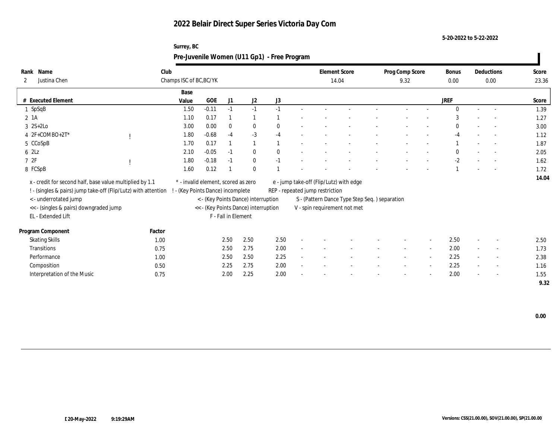**Surrey, BC**

**5-20-2022 to 5-22-2022**

| Rank Name<br>Justina Chen<br>2                                 | Club   | Champs ISC of BC, BC/YK             |         |                     |                                      |      | <b>Element Score</b><br>14.04           |                                               | Prog Comp Score<br>9.32 |                          | <b>Bonus</b><br>0.00 |        | Deductions<br>0.00       | Score<br>23.36 |
|----------------------------------------------------------------|--------|-------------------------------------|---------|---------------------|--------------------------------------|------|-----------------------------------------|-----------------------------------------------|-------------------------|--------------------------|----------------------|--------|--------------------------|----------------|
|                                                                |        | Base                                |         |                     |                                      |      |                                         |                                               |                         |                          |                      |        |                          |                |
| # Executed Element                                             |        | Value                               | GOE     | J1                  | J2                                   | J3   |                                         |                                               |                         |                          | <b>JREF</b>          |        |                          | Score          |
| $1$ SpSqB                                                      |        | 1.50                                | $-0.11$ | $-1$                | $-1$                                 | $-1$ |                                         |                                               |                         |                          | $\Omega$             |        | $\sim$                   | 1.39           |
| 2 1A                                                           |        | 1.10                                | 0.17    |                     |                                      |      |                                         |                                               |                         |                          |                      |        |                          | 1.27           |
| $3 \quad 2S+2Lo$                                               |        | 3.00                                | 0.00    | $\bf{0}$            | $\bf{0}$                             | 0    |                                         |                                               |                         |                          |                      |        |                          | 3.00           |
| 4 2F+COMBO+2T*                                                 |        | 1.80                                | $-0.68$ | $-4$                | $-3$                                 | $-4$ |                                         |                                               |                         |                          | $-4$                 |        | $\sim$                   | 1.12           |
| 5 CCoSpB                                                       |        | 1.70                                | 0.17    |                     |                                      |      |                                         |                                               |                         |                          |                      |        |                          | 1.87           |
| $6$ $2Lz$                                                      |        | 2.10                                | $-0.05$ | $-1$                | $\bf{0}$                             | 0    |                                         |                                               |                         |                          | $\Omega$             |        |                          | 2.05           |
| 72F                                                            |        | 1.80                                | $-0.18$ | $-1$                | $\bf{0}$                             | $-1$ |                                         |                                               |                         |                          | $-2$                 |        | $\overline{\phantom{a}}$ | 1.62           |
| 8 FCSpB                                                        |        | 1.60                                | 0.12    |                     | $\mathbf{0}$                         |      |                                         |                                               |                         |                          |                      |        | $\overline{\phantom{a}}$ | 1.72           |
| x - credit for second half, base value multiplied by 1.1       |        | * - invalid element, scored as zero |         |                     |                                      |      | e - jump take-off (Flip/Lutz) with edge |                                               |                         |                          |                      |        |                          | 14.04          |
| ! - (singles & pairs) jump take-off (Flip/Lutz) with attention |        | - (Key Points Dance) incomplete     |         |                     |                                      |      | REP - repeated jump restriction         |                                               |                         |                          |                      |        |                          |                |
| <- underrotated jump                                           |        |                                     |         |                     | < - (Key Points Dance) interruption  |      |                                         | S - (Pattern Dance Type Step Seq.) separation |                         |                          |                      |        |                          |                |
| << - (singles & pairs) downgraded jump                         |        |                                     |         |                     | << - (Key Points Dance) interruption |      |                                         | V - spin requirement not met                  |                         |                          |                      |        |                          |                |
| EL - Extended Lift                                             |        |                                     |         | F - Fall in Element |                                      |      |                                         |                                               |                         |                          |                      |        |                          |                |
|                                                                |        |                                     |         |                     |                                      |      |                                         |                                               |                         |                          |                      |        |                          |                |
| Program Component                                              | Factor |                                     |         |                     |                                      |      |                                         |                                               |                         |                          |                      |        |                          |                |
| <b>Skating Skills</b>                                          | 1.00   |                                     |         | 2.50                | 2.50                                 | 2.50 |                                         |                                               |                         | $\overline{\phantom{a}}$ | 2.50                 |        |                          | 2.50           |
| Transitions                                                    | 0.75   |                                     |         | 2.50                | 2.75                                 | 2.00 |                                         |                                               |                         | $\sim$                   | 2.00                 | $\sim$ | $\sim$                   | 1.73           |
| Performance                                                    | 1.00   |                                     |         | 2.50                | 2.50                                 | 2.25 |                                         |                                               |                         | $\sim$                   | 2.25                 |        |                          | 2.38           |
| Composition                                                    | 0.50   |                                     |         | 2.25                | 2.75                                 | 2.00 |                                         |                                               |                         | $\overline{\phantom{a}}$ | 2.25                 |        | $\overline{\phantom{a}}$ | 1.16           |
| Interpretation of the Music                                    | 0.75   |                                     |         | 2.00                | 2.25                                 | 2.00 |                                         |                                               |                         |                          | 2.00                 |        |                          | 1.55           |
|                                                                |        |                                     |         |                     |                                      |      |                                         |                                               |                         |                          |                      |        |                          | 9.32           |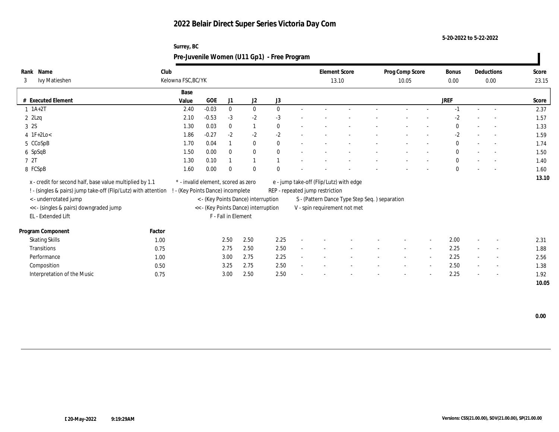**Surrey, BC**

**5-20-2022 to 5-22-2022**

| Rank Name                                                      | Club         |                                     |         |                     |                                      |              | <b>Element Score</b>                    |                                               |                          |                          | <b>Bonus</b> |        | Deductions               | Score        |
|----------------------------------------------------------------|--------------|-------------------------------------|---------|---------------------|--------------------------------------|--------------|-----------------------------------------|-----------------------------------------------|--------------------------|--------------------------|--------------|--------|--------------------------|--------------|
| Ivy Matieshen<br>3                                             |              | Kelowna FSC, BC/YK                  |         |                     |                                      |              | 13.10                                   |                                               | Prog Comp Score<br>10.05 |                          | 0.00         |        | 0.00                     | 23.15        |
|                                                                |              |                                     |         |                     |                                      |              |                                         |                                               |                          |                          |              |        |                          |              |
|                                                                |              | Base                                |         |                     |                                      |              |                                         |                                               |                          |                          |              |        |                          |              |
| # Executed Element                                             |              | Value                               | GOE     | J1                  | J2                                   | J3           |                                         |                                               |                          |                          | <b>JREF</b>  |        |                          | Score        |
| $1 \t1A+2T$                                                    |              | 2.40                                | $-0.03$ | $\mathbf{0}$        | $\mathbf{0}$                         | $\mathbf{0}$ |                                         |                                               |                          |                          | $-1$         | $\sim$ |                          | 2.37         |
| $2$ $2$ Lzq                                                    |              | 2.10                                | $-0.53$ | $-3$                | $-2$                                 | $-3$         |                                         |                                               |                          |                          | $-2$         |        |                          | 1.57         |
| 3 2S                                                           |              | 1.30                                | 0.03    | $\mathbf{0}$        |                                      | $\mathbf{0}$ |                                         |                                               |                          |                          | $\mathbf{0}$ |        |                          | 1.33         |
| $4$ 1F+2Lo<                                                    |              | 1.86                                | $-0.27$ | $-2$                | $-2$                                 | $-2$         |                                         |                                               |                          |                          | $-2$         |        | $\sim$                   | 1.59         |
| 5 CCoSpB                                                       |              | 1.70                                | 0.04    |                     | $\bf{0}$                             | $\mathbf{0}$ |                                         |                                               |                          |                          | $\mathbf{0}$ |        | $\overline{\phantom{a}}$ | 1.74         |
| 6 SpSqB                                                        |              | 1.50                                | 0.00    | $\theta$            | $\mathbf{0}$                         | $\mathbf{0}$ |                                         |                                               |                          |                          | $\mathbf{0}$ |        | $\sim$                   | 1.50         |
| 7 2T                                                           |              | 1.30                                | 0.10    |                     |                                      |              |                                         |                                               |                          |                          | $\mathbf{0}$ |        | $\sim$                   | 1.40         |
| 8 FCSpB                                                        |              | 1.60                                | 0.00    | $\Omega$            | $\mathbf{0}$                         |              |                                         |                                               |                          |                          | $\theta$     |        |                          | 1.60         |
|                                                                |              |                                     |         |                     |                                      |              |                                         |                                               |                          |                          |              |        |                          | 13.10        |
| x - credit for second half, base value multiplied by 1.1       |              | * - invalid element, scored as zero |         |                     |                                      |              | e - jump take-off (Flip/Lutz) with edge |                                               |                          |                          |              |        |                          |              |
| ! - (singles & pairs) jump take-off (Flip/Lutz) with attention |              | - (Key Points Dance) incomplete     |         |                     |                                      |              | REP - repeated jump restriction         |                                               |                          |                          |              |        |                          |              |
| <- underrotated jump                                           |              |                                     |         |                     | < - (Key Points Dance) interruption  |              |                                         | S - (Pattern Dance Type Step Seq.) separation |                          |                          |              |        |                          |              |
| << - (singles & pairs) downgraded jump                         |              |                                     |         |                     | << - (Key Points Dance) interruption |              | V - spin requirement not met            |                                               |                          |                          |              |        |                          |              |
| EL - Extended Lift                                             |              |                                     |         | F - Fall in Element |                                      |              |                                         |                                               |                          |                          |              |        |                          |              |
|                                                                |              |                                     |         |                     |                                      |              |                                         |                                               |                          |                          |              |        |                          |              |
|                                                                |              |                                     |         |                     |                                      |              |                                         |                                               |                          |                          |              |        |                          |              |
| Program Component                                              | Factor       |                                     |         |                     |                                      |              |                                         |                                               |                          |                          |              |        |                          |              |
| <b>Skating Skills</b>                                          | 1.00         |                                     |         | 2.50                | 2.50                                 | 2.25         |                                         |                                               |                          | $\overline{\phantom{a}}$ | 2.00         |        |                          | 2.31         |
| Transitions                                                    | 0.75         |                                     |         | 2.75                | 2.50                                 | 2.50         |                                         |                                               |                          | $\overline{\phantom{a}}$ | 2.25         |        |                          | 1.88         |
| Performance                                                    | 1.00         |                                     |         | 3.00                | 2.75                                 | 2.25         |                                         |                                               |                          | $\sim$                   | 2.25         |        |                          | 2.56         |
| Composition<br>Interpretation of the Music                     | 0.50<br>0.75 |                                     |         | 3.25<br>3.00        | 2.75<br>2.50                         | 2.50<br>2.50 |                                         |                                               |                          | $\sim$                   | 2.50<br>2.25 |        | $\sim$                   | 1.38<br>1.92 |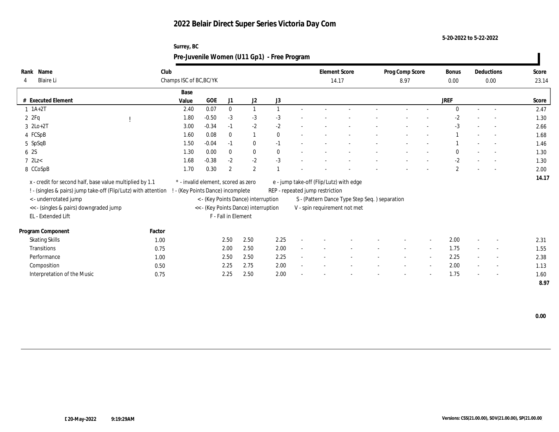**Surrey, BC**

**5-20-2022 to 5-22-2022**

|                                                                |        | Pre-Juvenile Women (U11 Gp1) - Free Program |         |                     |                                      |              |                                         |                                               |                 |                          |              |        |                          |       |
|----------------------------------------------------------------|--------|---------------------------------------------|---------|---------------------|--------------------------------------|--------------|-----------------------------------------|-----------------------------------------------|-----------------|--------------------------|--------------|--------|--------------------------|-------|
| Rank Name                                                      | Club   |                                             |         |                     |                                      |              | <b>Element Score</b>                    |                                               | Prog Comp Score |                          | <b>Bonus</b> |        | Deductions               | Score |
| <b>Blaire Li</b><br>4                                          |        | Champs ISC of BC, BC/YK                     |         |                     |                                      |              | 14.17                                   |                                               | 8.97            |                          | 0.00         |        | 0.00                     | 23.14 |
|                                                                |        | Base                                        |         |                     |                                      |              |                                         |                                               |                 |                          |              |        |                          |       |
| # Executed Element                                             |        | Value                                       | GOE     | J1                  | J2                                   | J3           |                                         |                                               |                 |                          | <b>JREF</b>  |        |                          | Score |
| $1 \t1A+2T$                                                    |        | 2.40                                        | 0.07    | $\mathbf{0}$        | $\mathbf{1}$                         |              |                                         |                                               |                 |                          | $\Omega$     | $\sim$ | $\overline{\phantom{a}}$ | 2.47  |
| 2ZFq                                                           |        | 1.80                                        | $-0.50$ | $-3$                | $-3$                                 | $-3$         |                                         |                                               |                 |                          | $-2$         |        |                          | 1.30  |
| $3 \text{ } 2\text{Lo}+2\text{T}$                              |        | 3.00                                        | $-0.34$ | $-1$                | $-2$                                 | $-2$         |                                         |                                               |                 |                          | $-3$         |        |                          | 2.66  |
| 4 FCSpB                                                        |        | 1.60                                        | 0.08    | $\theta$            |                                      | $\mathbf{0}$ |                                         |                                               |                 |                          |              |        | $\overline{\phantom{a}}$ | 1.68  |
| 5 SpSqB                                                        |        | 1.50                                        | $-0.04$ | $-1$                | $\bf{0}$                             | $-1$         |                                         |                                               |                 |                          |              |        |                          | 1.46  |
| 6 2S                                                           |        | 1.30                                        | 0.00    | $\theta$            | $\mathbf{0}$                         | $\mathbf{0}$ |                                         |                                               |                 |                          | $\theta$     |        | $\sim$                   | 1.30  |
| $7$ 2Lz $<$                                                    |        | 1.68                                        | $-0.38$ | $-2$                | $-2$                                 | $-3$         |                                         |                                               |                 |                          | $-2$         |        | $\sim$                   | 1.30  |
| 8 CCoSpB                                                       |        | 1.70                                        | 0.30    | $\boldsymbol{2}$    | $\mathbf{2}$                         |              |                                         |                                               |                 |                          | $\mathbf{2}$ |        |                          | 2.00  |
| x - credit for second half, base value multiplied by 1.1       |        | * - invalid element, scored as zero         |         |                     |                                      |              | e - jump take-off (Flip/Lutz) with edge |                                               |                 |                          |              |        |                          | 14.17 |
| ! - (singles & pairs) jump take-off (Flip/Lutz) with attention |        | - (Key Points Dance) incomplete             |         |                     |                                      |              | REP - repeated jump restriction         |                                               |                 |                          |              |        |                          |       |
| <- underrotated jump                                           |        |                                             |         |                     | < - (Key Points Dance) interruption  |              |                                         | S - (Pattern Dance Type Step Seq.) separation |                 |                          |              |        |                          |       |
| << - (singles & pairs) downgraded jump                         |        |                                             |         |                     | << - (Key Points Dance) interruption |              | V - spin requirement not met            |                                               |                 |                          |              |        |                          |       |
| EL - Extended Lift                                             |        |                                             |         | F - Fall in Element |                                      |              |                                         |                                               |                 |                          |              |        |                          |       |
|                                                                |        |                                             |         |                     |                                      |              |                                         |                                               |                 |                          |              |        |                          |       |
| Program Component                                              | Factor |                                             |         |                     |                                      |              |                                         |                                               |                 |                          |              |        |                          |       |
| <b>Skating Skills</b>                                          | 1.00   |                                             |         | 2.50                | 2.50                                 | 2.25         |                                         |                                               |                 | $\overline{\phantom{a}}$ | 2.00         |        |                          | 2.31  |
| Transitions                                                    | 0.75   |                                             |         | 2.00                | 2.50                                 | 2.00         |                                         |                                               |                 | $\sim$                   | 1.75         |        |                          | 1.55  |
| Performance                                                    | 1.00   |                                             |         | 2.50                | 2.50                                 | 2.25         |                                         |                                               |                 | $\sim$                   | 2.25         |        |                          | 2.38  |
| Composition                                                    | 0.50   |                                             |         | 2.25                | 2.75                                 | 2.00         |                                         |                                               |                 | $\sim$                   | 2.00         |        | $\overline{\phantom{a}}$ | 1.13  |
| Interpretation of the Music                                    | 0.75   |                                             |         | 2.25                | 2.50                                 | 2.00         |                                         |                                               |                 |                          | 1.75         |        |                          | 1.60  |
|                                                                |        |                                             |         |                     |                                      |              |                                         |                                               |                 |                          |              |        |                          | 8.97  |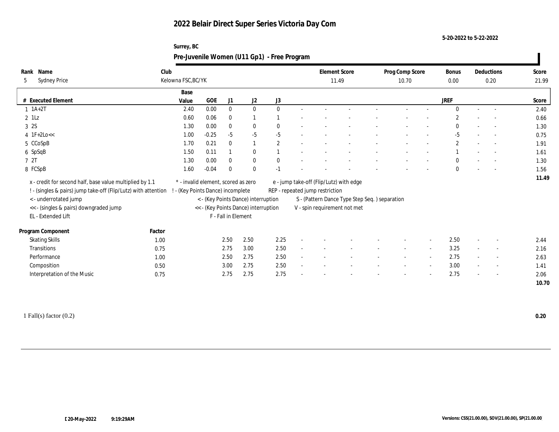**Surrey, BC**

**5-20-2022 to 5-22-2022**

|                                                                |        |                                     |         |                     |                                      | Pre-Juvenile Women (U11 Gp1) - Free Program |                                 |                                               |                          |                          |                      |                          |                |
|----------------------------------------------------------------|--------|-------------------------------------|---------|---------------------|--------------------------------------|---------------------------------------------|---------------------------------|-----------------------------------------------|--------------------------|--------------------------|----------------------|--------------------------|----------------|
| Rank Name<br><b>Sydney Price</b><br>5                          | Club   | Kelowna FSC, BC/YK                  |         |                     |                                      |                                             | 11.49                           | <b>Element Score</b>                          | Prog Comp Score<br>10.70 |                          | <b>Bonus</b><br>0.00 | Deductions<br>0.20       | Score<br>21.99 |
| # Executed Element                                             |        | Base<br>Value                       | GOE     | J1                  | J2                                   | J3                                          |                                 |                                               |                          |                          | <b>JREF</b>          |                          | Score          |
| $1 \t1A+2T$                                                    |        | 2.40                                | 0.00    | $\mathbf{0}$        | $\mathbf{0}$                         | $\mathbf{0}$                                |                                 |                                               |                          |                          | $\Omega$             | $\overline{a}$           | 2.40           |
| $2$ 1Lz                                                        |        | 0.60                                | 0.06    | $\mathbf{0}$        |                                      |                                             |                                 |                                               |                          |                          | $\overline{2}$       | $\overline{a}$           | 0.66           |
| 3 2S                                                           |        | 1.30                                | 0.00    | $\mathbf{0}$        | $\bf{0}$                             |                                             |                                 |                                               |                          |                          |                      |                          | 1.30           |
| $4$ 1F+2Lo<<                                                   |        | 1.00                                | $-0.25$ | $-5$                | $-5$                                 | $-5$                                        |                                 |                                               |                          |                          | $-5$                 | $\sim$                   | 0.75           |
| 5 CCoSpB                                                       |        | 1.70                                | 0.21    | $\mathbf{0}$        |                                      | $\overline{2}$                              |                                 |                                               |                          |                          | $\mathbf{2}$         | $\overline{a}$           | 1.91           |
| 6 SpSqB                                                        |        | 1.50                                | 0.11    |                     | $\bf{0}$                             |                                             |                                 |                                               |                          |                          |                      | $\overline{\phantom{a}}$ | 1.61           |
| 72T                                                            |        | 1.30                                | 0.00    | $\mathbf{0}$        | $\bf{0}$                             |                                             |                                 |                                               |                          |                          | $\Omega$             |                          | 1.30           |
| 8 FCSpB                                                        |        | 1.60                                | $-0.04$ | $\theta$            | $\theta$                             | $-1$                                        |                                 |                                               |                          |                          | $\mathbf{0}$         | $\sim$                   | 1.56           |
| x - credit for second half, base value multiplied by 1.1       |        | * - invalid element, scored as zero |         |                     |                                      |                                             |                                 | e - jump take-off (Flip/Lutz) with edge       |                          |                          |                      |                          | 11.49          |
| ! - (singles & pairs) jump take-off (Flip/Lutz) with attention |        | - (Key Points Dance) incomplete     |         |                     |                                      |                                             | REP - repeated jump restriction |                                               |                          |                          |                      |                          |                |
| <- underrotated jump                                           |        |                                     |         |                     | < - (Key Points Dance) interruption  |                                             |                                 | S - (Pattern Dance Type Step Seq.) separation |                          |                          |                      |                          |                |
| << - (singles & pairs) downgraded jump                         |        |                                     |         |                     | << - (Key Points Dance) interruption |                                             |                                 | V - spin requirement not met                  |                          |                          |                      |                          |                |
| EL - Extended Lift                                             |        |                                     |         | F - Fall in Element |                                      |                                             |                                 |                                               |                          |                          |                      |                          |                |
| Program Component                                              | Factor |                                     |         |                     |                                      |                                             |                                 |                                               |                          |                          |                      |                          |                |
| <b>Skating Skills</b>                                          | 1.00   |                                     |         | 2.50                | 2.50                                 | 2.25                                        |                                 |                                               |                          | $\overline{\phantom{a}}$ | 2.50                 |                          | 2.44           |
| Transitions                                                    | 0.75   |                                     |         | 2.75                | 3.00                                 | 2.50                                        |                                 |                                               |                          | $\sim$                   | 3.25                 | $\sim$                   | 2.16           |
| Performance                                                    | 1.00   |                                     |         | 2.50                | 2.75                                 | 2.50                                        |                                 |                                               | $\overline{\phantom{a}}$ | $\sim$                   | 2.75                 | $\sim$                   | 2.63           |
| Composition                                                    | 0.50   |                                     |         | 3.00                | 2.75                                 | 2.50                                        |                                 |                                               |                          | $\sim$                   | 3.00                 | $\overline{\phantom{a}}$ | 1.41           |
| Interpretation of the Music                                    | 0.75   |                                     |         | 2.75                | 2.75                                 | 2.75                                        |                                 |                                               |                          |                          | 2.75                 |                          | 2.06           |
|                                                                |        |                                     |         |                     |                                      |                                             |                                 |                                               |                          |                          |                      |                          | 10.70          |
|                                                                |        |                                     |         |                     |                                      |                                             |                                 |                                               |                          |                          |                      |                          |                |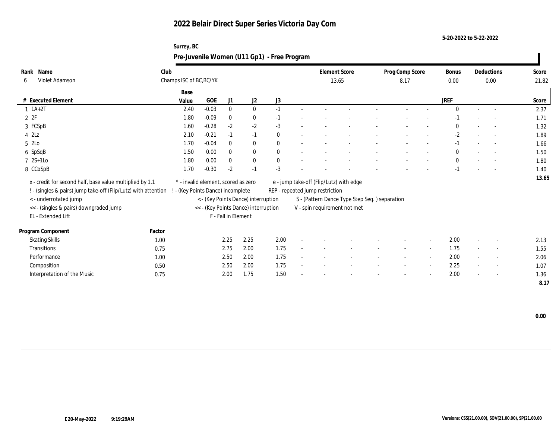**Surrey, BC**

**5-20-2022 to 5-22-2022**

|                                                                |        | Pre-Juvenile Women (U11 Gp1) - Free Program |         |                     |                                      |              |                                               |  |                 |                          |              |        |                          |       |
|----------------------------------------------------------------|--------|---------------------------------------------|---------|---------------------|--------------------------------------|--------------|-----------------------------------------------|--|-----------------|--------------------------|--------------|--------|--------------------------|-------|
| Rank Name                                                      | Club   |                                             |         |                     |                                      |              | <b>Element Score</b>                          |  | Prog Comp Score |                          | <b>Bonus</b> |        | Deductions               | Score |
| Violet Adamson<br>-6                                           |        | Champs ISC of BC, BC/YK                     |         |                     |                                      |              | 13.65                                         |  | 8.17            |                          | 0.00         |        | 0.00                     | 21.82 |
|                                                                |        | Base                                        |         |                     |                                      |              |                                               |  |                 |                          |              |        |                          |       |
| # Executed Element                                             |        | Value                                       | GOE     | J1                  | J2                                   | J3           |                                               |  |                 |                          | <b>JREF</b>  |        |                          | Score |
| $1 \ 1A+2T$                                                    |        | 2.40                                        | $-0.03$ | $\mathbf{0}$        | $\mathbf{0}$                         | $-1$         |                                               |  |                 |                          | $\theta$     | $\sim$ | $\sim$                   | 2.37  |
| 2Z                                                             |        | 1.80                                        | $-0.09$ | $\theta$            | $\bf{0}$                             | $-1$         |                                               |  |                 |                          |              |        |                          | 1.71  |
| 3 FCSpB                                                        |        | 1.60                                        | $-0.28$ | $-2$                | $-2$                                 | $-3$         |                                               |  |                 |                          | $\theta$     |        |                          | 1.32  |
| $4$ $2\text{L}z$                                               |        | 2.10                                        | $-0.21$ | $-1$                | $-1$                                 | $\mathbf{0}$ |                                               |  |                 |                          | $-2$         |        |                          | 1.89  |
| 5 2Lo                                                          |        | 1.70                                        | $-0.04$ | $\theta$            | $\mathbf{0}$                         | $\mathbf{0}$ |                                               |  |                 |                          | $-1$         |        | $\overline{\phantom{a}}$ | 1.66  |
| 6 SpSqB                                                        |        | 1.50                                        | 0.00    | $\theta$            | $\mathbf{0}$                         | $\mathbf{0}$ |                                               |  |                 |                          | $\mathbf{0}$ |        | $\sim$                   | 1.50  |
| $72S+1Lo$                                                      |        | 1.80                                        | 0.00    | $\Omega$            | $\bf{0}$                             | 0            |                                               |  |                 |                          | $\theta$     |        | $\sim$                   | 1.80  |
| 8 CCoSpB                                                       |        | 1.70                                        | $-0.30$ | $-2$                | $-1$                                 | $-3$         |                                               |  |                 |                          |              |        |                          | 1.40  |
| x - credit for second half, base value multiplied by 1.1       |        | * - invalid element, scored as zero         |         |                     |                                      |              | e - jump take-off (Flip/Lutz) with edge       |  |                 |                          |              |        |                          | 13.65 |
| ! - (singles & pairs) jump take-off (Flip/Lutz) with attention |        | - (Key Points Dance) incomplete             |         |                     |                                      |              | REP - repeated jump restriction               |  |                 |                          |              |        |                          |       |
| <- underrotated jump                                           |        |                                             |         |                     | < - (Key Points Dance) interruption  |              | S - (Pattern Dance Type Step Seq.) separation |  |                 |                          |              |        |                          |       |
| << - (singles & pairs) downgraded jump                         |        |                                             |         |                     | << - (Key Points Dance) interruption |              | V - spin requirement not met                  |  |                 |                          |              |        |                          |       |
| EL - Extended Lift                                             |        |                                             |         | F - Fall in Element |                                      |              |                                               |  |                 |                          |              |        |                          |       |
|                                                                |        |                                             |         |                     |                                      |              |                                               |  |                 |                          |              |        |                          |       |
| Program Component                                              | Factor |                                             |         |                     |                                      |              |                                               |  |                 |                          |              |        |                          |       |
| <b>Skating Skills</b>                                          | 1.00   |                                             |         | 2.25                | 2.25                                 | 2.00         |                                               |  |                 | $\overline{\phantom{a}}$ | 2.00         |        |                          | 2.13  |
| Transitions                                                    | 0.75   |                                             |         | 2.75                | 2.00                                 | 1.75         |                                               |  |                 | $\sim$                   | 1.75         |        |                          | 1.55  |
| Performance                                                    | 1.00   |                                             |         | 2.50                | 2.00                                 | 1.75         |                                               |  |                 | $\sim$                   | 2.00         |        | $\sim$                   | 2.06  |
| Composition                                                    | 0.50   |                                             |         | 2.50                | 2.00                                 | 1.75         |                                               |  |                 | $\sim$                   | 2.25         |        | $\overline{a}$           | 1.07  |
| Interpretation of the Music                                    | 0.75   |                                             |         | 2.00                | 1.75                                 | 1.50         |                                               |  |                 |                          | 2.00         |        |                          | 1.36  |
|                                                                |        |                                             |         |                     |                                      |              |                                               |  |                 |                          |              |        |                          | 8.17  |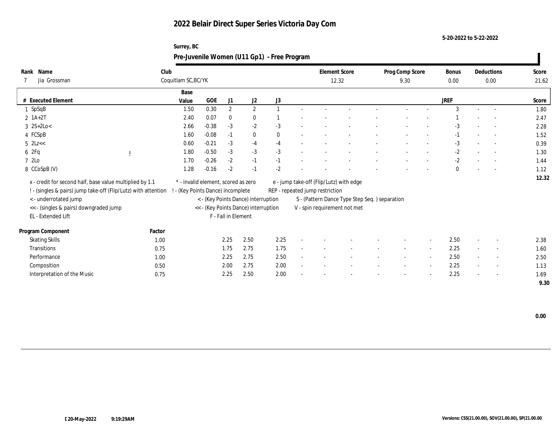**Surrey, BC**

**5-20-2022 to 5-22-2022**

| Rank Name<br>Jia Grossman                                      | Club   | Coquitlam SC, BC/YK                 |         |                     |                                      |              | <b>Element Score</b><br>12.32           |                                               | Prog Comp Score<br>9.30 |                          | <b>Bonus</b><br>0.00 | Deductions<br>0.00       | Score<br>21.62 |
|----------------------------------------------------------------|--------|-------------------------------------|---------|---------------------|--------------------------------------|--------------|-----------------------------------------|-----------------------------------------------|-------------------------|--------------------------|----------------------|--------------------------|----------------|
|                                                                |        | Base                                |         |                     |                                      |              |                                         |                                               |                         |                          |                      |                          |                |
| # Executed Element                                             |        | Value                               | GOE     | J1                  | J2                                   | J3           |                                         |                                               |                         |                          | <b>JREF</b>          |                          | Score          |
| 1 SpSqB                                                        |        | 1.50                                | 0.30    | $\mathbf{2}$        | $\mathbf{2}$                         |              |                                         |                                               |                         |                          | 3                    |                          | 1.80           |
| $2 1A+2T$                                                      |        | 2.40                                | 0.07    | $\theta$            | $\bf{0}$                             |              |                                         |                                               |                         |                          |                      |                          | 2.47           |
| $3 \ 2S+2Lo<$                                                  |        | 2.66                                | $-0.38$ | $-3$                | $-2$                                 | $-3$         |                                         |                                               |                         |                          | $-3$                 |                          | 2.28           |
| 4 FCSpB                                                        |        | 1.60                                | $-0.08$ | $-1$                | $\bf{0}$                             | $\mathbf{0}$ |                                         |                                               |                         |                          |                      | $\sim$                   | 1.52           |
| $5$ 2Lz $<<$                                                   |        | 0.60                                | $-0.21$ | $-3$                | $-4$                                 | $-4$         |                                         |                                               |                         |                          | $-3$                 |                          | 0.39           |
| 62Fq                                                           |        | 1.80                                | $-0.50$ | $-3$                | $-3$                                 | $-3$         |                                         |                                               |                         |                          | $-2$                 |                          | 1.30           |
| 7 2Lo                                                          |        | 1.70                                | $-0.26$ | $-2$                | $-1$                                 | $-1$         |                                         |                                               |                         |                          | $-2$                 | $\overline{\phantom{a}}$ | 1.44           |
| 8 CCoSpB (V)                                                   |        | 1.28                                | $-0.16$ | $-2$                | $-1$                                 | $-2$         |                                         |                                               |                         |                          | $\mathbf{0}$         | $\sim$                   | 1.12           |
| x - credit for second half, base value multiplied by 1.1       |        | * - invalid element, scored as zero |         |                     |                                      |              | e - jump take-off (Flip/Lutz) with edge |                                               |                         |                          |                      |                          | 12.32          |
| ! - (singles & pairs) jump take-off (Flip/Lutz) with attention |        | - (Key Points Dance) incomplete     |         |                     |                                      |              | REP - repeated jump restriction         |                                               |                         |                          |                      |                          |                |
| <- underrotated jump                                           |        |                                     |         |                     | < - (Key Points Dance) interruption  |              |                                         | S - (Pattern Dance Type Step Seq.) separation |                         |                          |                      |                          |                |
| << - (singles & pairs) downgraded jump                         |        |                                     |         |                     | << - (Key Points Dance) interruption |              |                                         | V - spin requirement not met                  |                         |                          |                      |                          |                |
| EL - Extended Lift                                             |        |                                     |         | F - Fall in Element |                                      |              |                                         |                                               |                         |                          |                      |                          |                |
|                                                                |        |                                     |         |                     |                                      |              |                                         |                                               |                         |                          |                      |                          |                |
| Program Component                                              | Factor |                                     |         |                     |                                      |              |                                         |                                               |                         |                          |                      |                          |                |
| <b>Skating Skills</b>                                          | 1.00   |                                     |         | 2.25                | 2.50                                 | 2.25         |                                         |                                               |                         | $\overline{\phantom{a}}$ | 2.50                 |                          | 2.38           |
| Transitions                                                    | 0.75   |                                     |         | 1.75                | 2.75                                 | 1.75         |                                         |                                               |                         | $\sim$                   | 2.25                 | $\sim$                   | 1.60           |
| Performance                                                    | 1.00   |                                     |         | 2.25                | 2.75                                 | 2.50         |                                         |                                               |                         | $\sim$                   | 2.50                 |                          | 2.50           |
| Composition                                                    | 0.50   |                                     |         | 2.00                | 2.75                                 | 2.00         |                                         |                                               |                         | $\overline{\phantom{a}}$ | 2.25                 | $\overline{\phantom{a}}$ | 1.13           |
| Interpretation of the Music                                    | 0.75   |                                     |         | 2.25                | 2.50                                 | 2.00         |                                         |                                               |                         |                          | 2.25                 |                          | 1.69           |
|                                                                |        |                                     |         |                     |                                      |              |                                         |                                               |                         |                          |                      |                          | 9.30           |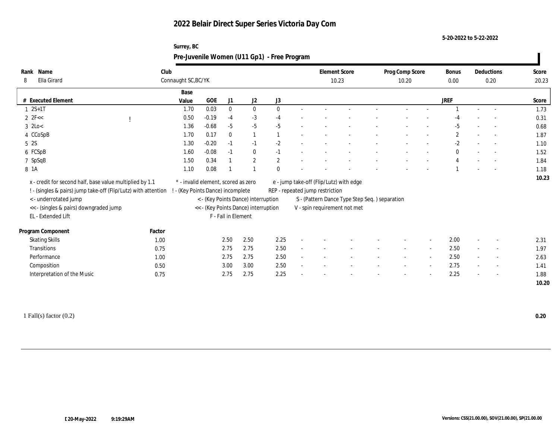**Surrey, BC**

**5-20-2022 to 5-22-2022**

| <b>Element Score</b><br>Club<br>Prog Comp Score<br>Deductions<br>Score<br><b>Bonus</b><br>Ella Girard<br>Connaught SC, BC/YK<br>10.23<br>0.00<br>20.23<br>10.20<br>0.20<br>Base<br># Executed Element<br>GOE<br>J3<br><b>JREF</b><br>J1<br>J <sub>2</sub><br>Value<br>Score<br>$1 \ 2S+1T$<br>0.03<br>$\bf{0}$<br>1.70<br>$\bf{0}$<br>$\mathbf{0}$<br>1.73<br>0.50<br>$-0.19$<br>$-3$<br>$-4$<br>$-4$<br>0.31<br>-4<br>$\overline{a}$<br>1.36<br>$-0.68$<br>$-5$<br>$-5$<br>$-5$<br>$-5$<br>0.68<br>4 CCoSpB<br>0.17<br>$\mathbf{2}$<br>1.70<br>$\mathbf{0}$<br>1.87<br>$\overline{\phantom{a}}$<br>$-0.20$<br>1.30<br>$-2$<br>$-2$<br>$-1$<br>1.10<br>$-1$<br>$\overline{\phantom{a}}$<br>6 FCSpB<br>$-0.08$<br>1.60<br>$\mathbf{0}$<br>$\mathbf{0}$<br>1.52<br>$-1$<br>$-1$<br>$\overline{\phantom{a}}$<br>0.34<br>$\mathbf{2}$<br>7 SpSqB<br>1.50<br>$\overline{2}$<br>1.84<br>0.08<br>1.10<br>1.18<br>$\sim$<br>x - credit for second half, base value multiplied by 1.1<br>e - jump take-off (Flip/Lutz) with edge<br>* - invalid element, scored as zero<br>! - (singles & pairs) jump take-off (Flip/Lutz) with attention<br>- (Key Points Dance) incomplete<br>REP - repeated jump restriction<br>< - underrotated jump<br>< - (Key Points Dance) interruption<br>S - (Pattern Dance Type Step Seq.) separation<br><< - (singles & pairs) downgraded jump<br><< - (Key Points Dance) interruption<br>V - spin requirement not met<br>EL - Extended Lift<br>F - Fall in Element<br>Factor<br>2.50<br>2.50<br>2.25<br>2.00<br><b>Skating Skills</b><br>1.00<br>2.31<br>$\sim$<br>Transitions<br>2.75<br>2.75<br>2.50<br>2.50<br>0.75<br>1.97<br>$\sim$<br>$\sim$<br>Performance<br>2.50<br>2.50<br>2.75<br>2.75<br>2.63<br>1.00<br>$\overline{\phantom{a}}$<br>$\overline{\phantom{a}}$<br>$\overline{\phantom{a}}$<br>$\sim$<br>3.00<br>2.75<br>Composition<br>3.00<br>2.50<br>0.50<br>1.41<br>$\sim$<br>Interpretation of the Music<br>0.75<br>2.75<br>2.75<br>2.25<br>2.25<br>1.88 |                    |  |  | Pre-Juvenile Women (U11 Gp1) - Free Program |  |  |  |  |  |
|---------------------------------------------------------------------------------------------------------------------------------------------------------------------------------------------------------------------------------------------------------------------------------------------------------------------------------------------------------------------------------------------------------------------------------------------------------------------------------------------------------------------------------------------------------------------------------------------------------------------------------------------------------------------------------------------------------------------------------------------------------------------------------------------------------------------------------------------------------------------------------------------------------------------------------------------------------------------------------------------------------------------------------------------------------------------------------------------------------------------------------------------------------------------------------------------------------------------------------------------------------------------------------------------------------------------------------------------------------------------------------------------------------------------------------------------------------------------------------------------------------------------------------------------------------------------------------------------------------------------------------------------------------------------------------------------------------------------------------------------------------------------------------------------------------------------------------------------------------------------------------------------------------------------------------------------------------------------------------------------|--------------------|--|--|---------------------------------------------|--|--|--|--|--|
| 10.23<br>10.20                                                                                                                                                                                                                                                                                                                                                                                                                                                                                                                                                                                                                                                                                                                                                                                                                                                                                                                                                                                                                                                                                                                                                                                                                                                                                                                                                                                                                                                                                                                                                                                                                                                                                                                                                                                                                                                                                                                                                                              | Rank Name<br>8     |  |  |                                             |  |  |  |  |  |
|                                                                                                                                                                                                                                                                                                                                                                                                                                                                                                                                                                                                                                                                                                                                                                                                                                                                                                                                                                                                                                                                                                                                                                                                                                                                                                                                                                                                                                                                                                                                                                                                                                                                                                                                                                                                                                                                                                                                                                                             |                    |  |  |                                             |  |  |  |  |  |
|                                                                                                                                                                                                                                                                                                                                                                                                                                                                                                                                                                                                                                                                                                                                                                                                                                                                                                                                                                                                                                                                                                                                                                                                                                                                                                                                                                                                                                                                                                                                                                                                                                                                                                                                                                                                                                                                                                                                                                                             |                    |  |  |                                             |  |  |  |  |  |
|                                                                                                                                                                                                                                                                                                                                                                                                                                                                                                                                                                                                                                                                                                                                                                                                                                                                                                                                                                                                                                                                                                                                                                                                                                                                                                                                                                                                                                                                                                                                                                                                                                                                                                                                                                                                                                                                                                                                                                                             | $2 \text{ } 2F <<$ |  |  |                                             |  |  |  |  |  |
|                                                                                                                                                                                                                                                                                                                                                                                                                                                                                                                                                                                                                                                                                                                                                                                                                                                                                                                                                                                                                                                                                                                                                                                                                                                                                                                                                                                                                                                                                                                                                                                                                                                                                                                                                                                                                                                                                                                                                                                             | $3$ 2Lo $<$        |  |  |                                             |  |  |  |  |  |
|                                                                                                                                                                                                                                                                                                                                                                                                                                                                                                                                                                                                                                                                                                                                                                                                                                                                                                                                                                                                                                                                                                                                                                                                                                                                                                                                                                                                                                                                                                                                                                                                                                                                                                                                                                                                                                                                                                                                                                                             |                    |  |  |                                             |  |  |  |  |  |
|                                                                                                                                                                                                                                                                                                                                                                                                                                                                                                                                                                                                                                                                                                                                                                                                                                                                                                                                                                                                                                                                                                                                                                                                                                                                                                                                                                                                                                                                                                                                                                                                                                                                                                                                                                                                                                                                                                                                                                                             | 5 2S               |  |  |                                             |  |  |  |  |  |
|                                                                                                                                                                                                                                                                                                                                                                                                                                                                                                                                                                                                                                                                                                                                                                                                                                                                                                                                                                                                                                                                                                                                                                                                                                                                                                                                                                                                                                                                                                                                                                                                                                                                                                                                                                                                                                                                                                                                                                                             |                    |  |  |                                             |  |  |  |  |  |
|                                                                                                                                                                                                                                                                                                                                                                                                                                                                                                                                                                                                                                                                                                                                                                                                                                                                                                                                                                                                                                                                                                                                                                                                                                                                                                                                                                                                                                                                                                                                                                                                                                                                                                                                                                                                                                                                                                                                                                                             |                    |  |  |                                             |  |  |  |  |  |
|                                                                                                                                                                                                                                                                                                                                                                                                                                                                                                                                                                                                                                                                                                                                                                                                                                                                                                                                                                                                                                                                                                                                                                                                                                                                                                                                                                                                                                                                                                                                                                                                                                                                                                                                                                                                                                                                                                                                                                                             | 8 1A               |  |  |                                             |  |  |  |  |  |
|                                                                                                                                                                                                                                                                                                                                                                                                                                                                                                                                                                                                                                                                                                                                                                                                                                                                                                                                                                                                                                                                                                                                                                                                                                                                                                                                                                                                                                                                                                                                                                                                                                                                                                                                                                                                                                                                                                                                                                                             |                    |  |  |                                             |  |  |  |  |  |
|                                                                                                                                                                                                                                                                                                                                                                                                                                                                                                                                                                                                                                                                                                                                                                                                                                                                                                                                                                                                                                                                                                                                                                                                                                                                                                                                                                                                                                                                                                                                                                                                                                                                                                                                                                                                                                                                                                                                                                                             |                    |  |  |                                             |  |  |  |  |  |
|                                                                                                                                                                                                                                                                                                                                                                                                                                                                                                                                                                                                                                                                                                                                                                                                                                                                                                                                                                                                                                                                                                                                                                                                                                                                                                                                                                                                                                                                                                                                                                                                                                                                                                                                                                                                                                                                                                                                                                                             |                    |  |  |                                             |  |  |  |  |  |
|                                                                                                                                                                                                                                                                                                                                                                                                                                                                                                                                                                                                                                                                                                                                                                                                                                                                                                                                                                                                                                                                                                                                                                                                                                                                                                                                                                                                                                                                                                                                                                                                                                                                                                                                                                                                                                                                                                                                                                                             | Program Component  |  |  |                                             |  |  |  |  |  |
|                                                                                                                                                                                                                                                                                                                                                                                                                                                                                                                                                                                                                                                                                                                                                                                                                                                                                                                                                                                                                                                                                                                                                                                                                                                                                                                                                                                                                                                                                                                                                                                                                                                                                                                                                                                                                                                                                                                                                                                             |                    |  |  |                                             |  |  |  |  |  |
|                                                                                                                                                                                                                                                                                                                                                                                                                                                                                                                                                                                                                                                                                                                                                                                                                                                                                                                                                                                                                                                                                                                                                                                                                                                                                                                                                                                                                                                                                                                                                                                                                                                                                                                                                                                                                                                                                                                                                                                             |                    |  |  |                                             |  |  |  |  |  |
|                                                                                                                                                                                                                                                                                                                                                                                                                                                                                                                                                                                                                                                                                                                                                                                                                                                                                                                                                                                                                                                                                                                                                                                                                                                                                                                                                                                                                                                                                                                                                                                                                                                                                                                                                                                                                                                                                                                                                                                             |                    |  |  |                                             |  |  |  |  |  |
|                                                                                                                                                                                                                                                                                                                                                                                                                                                                                                                                                                                                                                                                                                                                                                                                                                                                                                                                                                                                                                                                                                                                                                                                                                                                                                                                                                                                                                                                                                                                                                                                                                                                                                                                                                                                                                                                                                                                                                                             |                    |  |  |                                             |  |  |  |  |  |
|                                                                                                                                                                                                                                                                                                                                                                                                                                                                                                                                                                                                                                                                                                                                                                                                                                                                                                                                                                                                                                                                                                                                                                                                                                                                                                                                                                                                                                                                                                                                                                                                                                                                                                                                                                                                                                                                                                                                                                                             |                    |  |  |                                             |  |  |  |  |  |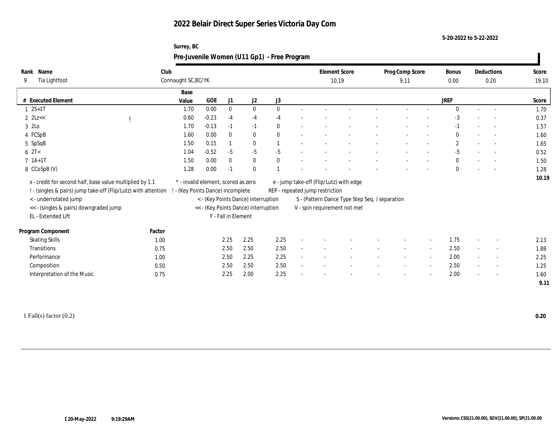**Surrey, BC**

**5-20-2022 to 5-22-2022**

|                                                                                                                            |        | Pre-Juvenile Women (U11 Gp1) - Free Program                              |         |                     |                                      |          |                                                                            |                                               |                          |                          |                      |                          |                |
|----------------------------------------------------------------------------------------------------------------------------|--------|--------------------------------------------------------------------------|---------|---------------------|--------------------------------------|----------|----------------------------------------------------------------------------|-----------------------------------------------|--------------------------|--------------------------|----------------------|--------------------------|----------------|
| Rank Name<br>Tia Lightfoot<br>9                                                                                            | Club   | Connaught SC, BC/YK                                                      |         |                     |                                      |          | <b>Element Score</b><br>10.19                                              |                                               | Prog Comp Score<br>9.11  |                          | <b>Bonus</b><br>0.00 | Deductions<br>0.20       | Score<br>19.10 |
| # Executed Element                                                                                                         |        | Base<br>Value                                                            | GOE     | J1                  | J <sub>2</sub>                       | J3       |                                                                            |                                               |                          |                          | <b>JREF</b>          |                          | Score          |
| $1 \ 2S+1T$                                                                                                                |        | 1.70                                                                     | 0.00    | $\mathbf{0}$        | $\mathbf{0}$                         | $\Omega$ |                                                                            |                                               |                          |                          | $\Omega$             |                          | 1.70           |
| $2$ $2$ Lz<<                                                                                                               |        | 0.60                                                                     | $-0.23$ | $-4$                | $-4$                                 | $-4$     |                                                                            |                                               |                          |                          | $-3$                 |                          | 0.37           |
| 3 2Lo                                                                                                                      |        | 1.70                                                                     | $-0.13$ | $-1$                | $-1$                                 |          |                                                                            |                                               |                          |                          | -1                   | $\sim$                   | 1.57           |
| 4 FCSpB                                                                                                                    |        | 1.60                                                                     | 0.00    | $\mathbf{0}$        | $\mathbf{0}$                         | $\theta$ |                                                                            |                                               |                          |                          | $\bf{0}$             | $\sim$                   | 1.60           |
| 5 SpSqB                                                                                                                    |        | 1.50                                                                     | 0.15    |                     | $\mathbf{0}$                         |          |                                                                            |                                               |                          |                          | $\mathbf{2}$         | $\sim$                   | 1.65           |
| $6 \text{ } 2T <$                                                                                                          |        | 1.04                                                                     | $-0.52$ | $-5$                | $-5$                                 | $-5$     |                                                                            |                                               |                          |                          | $-5$                 | $\overline{\phantom{a}}$ | 0.52           |
| $7 1A+1T$                                                                                                                  |        | 1.50                                                                     | 0.00    | $\mathbf{0}$        | $\mathbf{0}$                         |          |                                                                            |                                               |                          |                          | $\bf{0}$             |                          | 1.50           |
| 8 CCoSpB (V)                                                                                                               |        | 1.28                                                                     | 0.00    | -1                  | $\mathbf{0}$                         |          |                                                                            |                                               |                          |                          | $\Omega$             | $\overline{\phantom{a}}$ | 1.28           |
| x - credit for second half, base value multiplied by 1.1<br>! - (singles & pairs) jump take-off (Flip/Lutz) with attention |        | * - invalid element, scored as zero<br>! - (Key Points Dance) incomplete |         |                     |                                      |          | e - jump take-off (Flip/Lutz) with edge<br>REP - repeated jump restriction |                                               |                          |                          |                      |                          | 10.19          |
| <- underrotated jump                                                                                                       |        |                                                                          |         |                     | < - (Key Points Dance) interruption  |          |                                                                            | S - (Pattern Dance Type Step Seq.) separation |                          |                          |                      |                          |                |
| << - (singles & pairs) downgraded jump<br>EL - Extended Lift                                                               |        |                                                                          |         | F - Fall in Element | << - (Key Points Dance) interruption |          | V - spin requirement not met                                               |                                               |                          |                          |                      |                          |                |
| Program Component                                                                                                          | Factor |                                                                          |         |                     |                                      |          |                                                                            |                                               |                          |                          |                      |                          |                |
| <b>Skating Skills</b>                                                                                                      | 1.00   |                                                                          |         | 2.25                | 2.25                                 | 2.25     |                                                                            |                                               |                          |                          | 1.75                 |                          | 2.13           |
| Transitions                                                                                                                | 0.75   |                                                                          |         | 2.50                | 2.50                                 | 2.50     |                                                                            |                                               | $\overline{\phantom{a}}$ | $\sim$                   | 2.50                 | $\sim$                   | 1.88           |
| Performance                                                                                                                | 1.00   |                                                                          |         | 2.50                | 2.25                                 | 2.25     |                                                                            |                                               |                          | $\sim$                   | 2.00                 |                          | 2.25           |
| Composition                                                                                                                | 0.50   |                                                                          |         | 2.50                | 2.50                                 | 2.50     |                                                                            |                                               |                          | $\overline{\phantom{a}}$ | 2.50                 | $\sim$                   | 1.25           |
| Interpretation of the Music                                                                                                | 0.75   |                                                                          |         | 2.25                | 2.00                                 | 2.25     |                                                                            |                                               |                          |                          | 2.00                 |                          | 1.60<br>9.11   |
|                                                                                                                            |        |                                                                          |         |                     |                                      |          |                                                                            |                                               |                          |                          |                      |                          |                |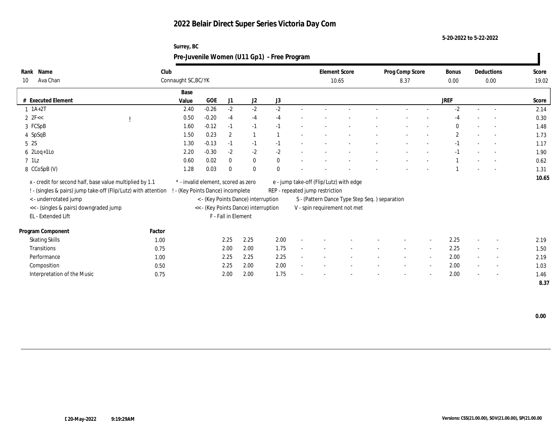**Surrey, BC**

**5-20-2022 to 5-22-2022**

| Rank Name<br>Ava Chan<br>10                                                                                                | Club   | Connaught SC, BC/YK                                                          |            |                     |                                      |      | 10.65                           | <b>Element Score</b>                          | Prog Comp Score<br>8.37 |                          | <b>Bonus</b><br>0.00 | Deductions<br>0.00       | Score<br>19.02 |
|----------------------------------------------------------------------------------------------------------------------------|--------|------------------------------------------------------------------------------|------------|---------------------|--------------------------------------|------|---------------------------------|-----------------------------------------------|-------------------------|--------------------------|----------------------|--------------------------|----------------|
|                                                                                                                            |        |                                                                              |            |                     |                                      |      |                                 |                                               |                         |                          |                      |                          |                |
| # Executed Element                                                                                                         |        | Base<br>Value                                                                | <b>GOE</b> | J1                  | J <sub>2</sub>                       | J3   |                                 |                                               |                         |                          | <b>JREF</b>          |                          | Score          |
| $1 \t1A+2T$                                                                                                                |        | 2.40                                                                         | $-0.26$    | $-2$                | $-2$                                 | $-2$ |                                 |                                               |                         |                          | $-2$                 |                          | 2.14           |
| $2 \text{ } 2 \text{ } F <<$                                                                                               |        | 0.50                                                                         | $-0.20$    | $-4$                | $-4$                                 | $-4$ |                                 |                                               |                         |                          | $-4$                 |                          | 0.30           |
| 3 FCSpB                                                                                                                    |        | 1.60                                                                         | $-0.12$    | $-1$                | $-1$                                 |      |                                 |                                               |                         |                          | $\theta$             | $\overline{\phantom{a}}$ | 1.48           |
| 4 SpSqB                                                                                                                    |        | 1.50                                                                         | 0.23       | $\overline{2}$      |                                      |      |                                 |                                               |                         |                          | $\mathbf{2}$         | $\sim$                   | 1.73           |
| 5 2S                                                                                                                       |        | 1.30                                                                         | $-0.13$    | $-1$                | $-1$                                 | $-1$ |                                 |                                               |                         |                          |                      |                          | 1.17           |
| $6$ 2Loq+1Lo                                                                                                               |        | 2.20                                                                         | $-0.30$    | $-2$                | $-2$                                 | $-2$ |                                 |                                               |                         |                          |                      |                          | 1.90           |
| $7$ 1Lz                                                                                                                    |        | 0.60                                                                         | 0.02       | $\boldsymbol{0}$    | $\bf{0}$                             | 0    |                                 |                                               |                         |                          |                      |                          | 0.62           |
| 8 CCoSpB (V)                                                                                                               |        | 1.28                                                                         | 0.03       | $\Omega$            | $\mathbf{0}$                         | 0    |                                 |                                               |                         |                          |                      |                          | 1.31           |
|                                                                                                                            |        |                                                                              |            |                     |                                      |      |                                 |                                               |                         |                          |                      |                          | 10.65          |
| x - credit for second half, base value multiplied by 1.1<br>! - (singles & pairs) jump take-off (Flip/Lutz) with attention |        | $^\ast$ - invalid element, scored as zero<br>- (Key Points Dance) incomplete |            |                     |                                      |      | REP - repeated jump restriction | e - jump take-off (Flip/Lutz) with edge       |                         |                          |                      |                          |                |
| < - underrotated jump                                                                                                      |        |                                                                              |            |                     | < - (Key Points Dance) interruption  |      |                                 | S - (Pattern Dance Type Step Seq.) separation |                         |                          |                      |                          |                |
| << - (singles & pairs) downgraded jump                                                                                     |        |                                                                              |            |                     | << - (Key Points Dance) interruption |      |                                 | V - spin requirement not met                  |                         |                          |                      |                          |                |
| EL - Extended Lift                                                                                                         |        |                                                                              |            | F - Fall in Element |                                      |      |                                 |                                               |                         |                          |                      |                          |                |
|                                                                                                                            |        |                                                                              |            |                     |                                      |      |                                 |                                               |                         |                          |                      |                          |                |
| Program Component                                                                                                          | Factor |                                                                              |            |                     |                                      |      |                                 |                                               |                         |                          |                      |                          |                |
| <b>Skating Skills</b>                                                                                                      | 1.00   |                                                                              |            | 2.25                | 2.25                                 | 2.00 |                                 |                                               |                         |                          | 2.25                 |                          | 2.19           |
| Transitions                                                                                                                | 0.75   |                                                                              |            | 2.00                | 2.00                                 | 1.75 |                                 |                                               |                         | $\sim$                   | 2.25                 |                          | 1.50           |
| Performance                                                                                                                | 1.00   |                                                                              |            | 2.25                | 2.25                                 | 2.25 |                                 |                                               |                         | $\overline{\phantom{a}}$ | 2.00                 |                          | 2.19           |
| Composition                                                                                                                | 0.50   |                                                                              |            | 2.25                | 2.00                                 | 2.00 |                                 |                                               |                         | $\sim$                   | 2.00                 | $\sim$                   | 1.03           |
| Interpretation of the Music                                                                                                | 0.75   |                                                                              |            | 2.00                | 2.00                                 | 1.75 |                                 |                                               |                         |                          | 2.00                 |                          | 1.46           |
|                                                                                                                            |        |                                                                              |            |                     |                                      |      |                                 |                                               |                         |                          |                      |                          | 8.37           |

 **0.00**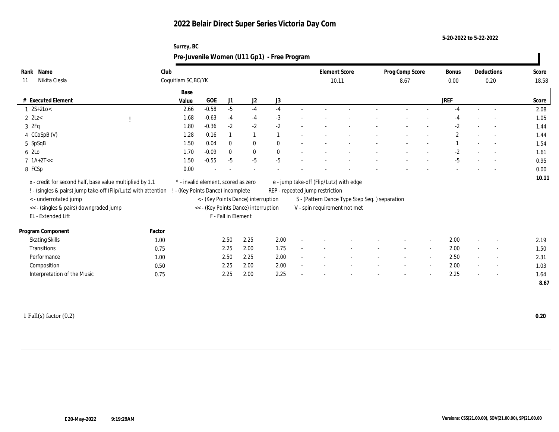**Surrey, BC**

**5-20-2022 to 5-22-2022**

|                                                                                                                            |        |                                                                        |              |                     |                                      | Pre-Juvenile Women (U11 Gp1) - Free Program |                                 |                                               |                         |                          |                      |                          |                |
|----------------------------------------------------------------------------------------------------------------------------|--------|------------------------------------------------------------------------|--------------|---------------------|--------------------------------------|---------------------------------------------|---------------------------------|-----------------------------------------------|-------------------------|--------------------------|----------------------|--------------------------|----------------|
| Rank Name<br>Nikita Ciesla<br>11                                                                                           | Club   | Coquitlam SC, BC/YK                                                    |              |                     |                                      |                                             |                                 | <b>Element Score</b><br>10.11                 | Prog Comp Score<br>8.67 |                          | <b>Bonus</b><br>0.00 | Deductions<br>0.20       | Score<br>18.58 |
| # Executed Element                                                                                                         |        | Base<br>Value                                                          | $_{\rm GOE}$ | J1                  | J2                                   | J3                                          |                                 |                                               |                         |                          | <b>JREF</b>          |                          | Score          |
| $1 \, 2S + 2Lo <$                                                                                                          |        | 2.66                                                                   | $-0.58$      | $-5$                | $-4$                                 | $-4$                                        |                                 |                                               |                         |                          | $-4$                 |                          | 2.08           |
| $2$ $2$ Lz<                                                                                                                |        | 1.68                                                                   | $-0.63$      | $-4$                | $-4$                                 | $-3$                                        |                                 |                                               |                         |                          | $-4$                 | $\overline{\phantom{a}}$ | 1.05           |
| 32Fq                                                                                                                       |        | 1.80                                                                   | $-0.36$      | $-2$                | $-2$                                 | $-2$                                        |                                 |                                               |                         |                          | $-2$                 | $\overline{\phantom{a}}$ | 1.44           |
| 4 CCoSpB (V)                                                                                                               |        | 1.28                                                                   | 0.16         |                     |                                      |                                             |                                 |                                               |                         |                          | $\mathbf{2}$         | $\sim$                   | 1.44           |
| 5 SpSqB                                                                                                                    |        | 1.50                                                                   | 0.04         | $\theta$            | $\bf{0}$                             |                                             |                                 |                                               |                         |                          |                      | $\overline{\phantom{a}}$ | 1.54           |
| 6 2Lo                                                                                                                      |        | 1.70                                                                   | $-0.09$      | $\mathbf{0}$        | $\bf{0}$                             |                                             |                                 |                                               |                         |                          | $-2$                 |                          | 1.61           |
| $7 1A+2T<<$                                                                                                                |        | 1.50                                                                   | $-0.55$      | $-5$                | $-5$                                 | $-5$                                        |                                 |                                               |                         |                          | $-5$                 | $\sim$                   | 0.95           |
| 8 FCSp                                                                                                                     |        | 0.00                                                                   |              |                     |                                      |                                             |                                 |                                               |                         |                          |                      |                          | 0.00           |
| x - credit for second half, base value multiplied by 1.1<br>! - (singles & pairs) jump take-off (Flip/Lutz) with attention |        | * - invalid element, scored as zero<br>- (Key Points Dance) incomplete |              |                     |                                      |                                             | REP - repeated jump restriction | e - jump take-off (Flip/Lutz) with edge       |                         |                          |                      |                          | 10.11          |
| <- underrotated jump                                                                                                       |        |                                                                        |              |                     | < - (Key Points Dance) interruption  |                                             |                                 | S - (Pattern Dance Type Step Seq.) separation |                         |                          |                      |                          |                |
| << - (singles & pairs) downgraded jump                                                                                     |        |                                                                        |              |                     | << - (Key Points Dance) interruption |                                             |                                 | V - spin requirement not met                  |                         |                          |                      |                          |                |
| EL - Extended Lift                                                                                                         |        |                                                                        |              | F - Fall in Element |                                      |                                             |                                 |                                               |                         |                          |                      |                          |                |
| Program Component                                                                                                          | Factor |                                                                        |              |                     |                                      |                                             |                                 |                                               |                         |                          |                      |                          |                |
| <b>Skating Skills</b>                                                                                                      | 1.00   |                                                                        |              | 2.50                | 2.25                                 | 2.00                                        |                                 |                                               |                         | $\overline{\phantom{a}}$ | 2.00                 |                          | 2.19           |
| Transitions                                                                                                                | 0.75   |                                                                        |              | 2.25                | 2.00                                 | 1.75                                        |                                 |                                               |                         | $\sim$                   | 2.00                 | $\overline{\phantom{a}}$ | 1.50           |
| Performance                                                                                                                | 1.00   |                                                                        |              | 2.50                | 2.25                                 | 2.00                                        |                                 |                                               |                         | $\overline{\phantom{a}}$ | 2.50                 | $\overline{\phantom{a}}$ | 2.31           |
| Composition                                                                                                                | 0.50   |                                                                        |              | 2.25                | 2.00                                 | 2.00                                        |                                 |                                               |                         | $\overline{\phantom{a}}$ | 2.00                 | $\overline{\phantom{a}}$ | 1.03           |
| Interpretation of the Music                                                                                                | 0.75   |                                                                        |              | 2.25                | 2.00                                 | 2.25                                        |                                 |                                               |                         | $\overline{\phantom{a}}$ | 2.25                 | $\overline{\phantom{a}}$ | 1.64           |
|                                                                                                                            |        |                                                                        |              |                     |                                      |                                             |                                 |                                               |                         |                          |                      |                          | 8.67           |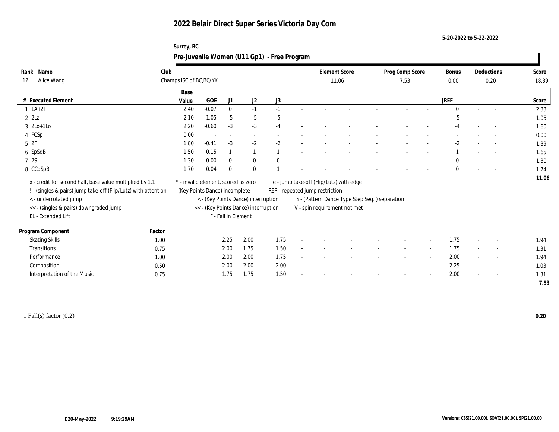**Surrey, BC**

**5-20-2022 to 5-22-2022**

|                                                                                                                            |                                 |                                                                        |                     |                                     | Pre-Juvenile Women (U11 Gp1) - Free Program |                                 |                                               |                         |        |               |                          |                |
|----------------------------------------------------------------------------------------------------------------------------|---------------------------------|------------------------------------------------------------------------|---------------------|-------------------------------------|---------------------------------------------|---------------------------------|-----------------------------------------------|-------------------------|--------|---------------|--------------------------|----------------|
| Rank Name<br>Alice Wang<br>12                                                                                              | Club<br>Champs ISC of BC, BC/YK |                                                                        |                     |                                     |                                             | <b>Element Score</b><br>11.06   |                                               | Prog Comp Score<br>7.53 |        | Bonus<br>0.00 | Deductions<br>0.20       | Score<br>18.39 |
| # Executed Element                                                                                                         | Base<br>Value                   | GOE                                                                    | J1                  | J <sub>2</sub>                      | J3                                          |                                 |                                               |                         |        | <b>JREF</b>   |                          | Score          |
| $1 \ 1A+2T$                                                                                                                | 2.40                            | $-0.07$                                                                | $\mathbf{0}$        | $-1$                                | $-1$                                        |                                 |                                               |                         |        | $\Omega$      | $\sim$                   | 2.33           |
| $2 \; 2Lz$                                                                                                                 | 2.10                            | $-1.05$                                                                | $-5$                | $-5$                                | $-5$                                        |                                 |                                               |                         |        | -5            |                          | 1.05           |
| $3 \text{2Lo+1Lo}$                                                                                                         | 2.20                            | $-0.60$                                                                | $-3$                | $-3$                                | $-4$                                        |                                 |                                               |                         |        | $-4$          | $\overline{\phantom{a}}$ | 1.60           |
| 4 FCSp                                                                                                                     | 0.00                            | $\overline{\phantom{a}}$                                               |                     | $\sim$                              |                                             |                                 |                                               |                         |        |               |                          | 0.00           |
| 52F                                                                                                                        | 1.80                            | $-0.41$                                                                | $-3$                | $-2$                                | $-2$                                        |                                 |                                               |                         |        | $-2$          | $\overline{\phantom{a}}$ | 1.39           |
| 6 SpSqB                                                                                                                    | 1.50                            | 0.15                                                                   |                     |                                     |                                             |                                 |                                               |                         |        |               | $\sim$                   | 1.65           |
| 7 2S                                                                                                                       | 1.30                            | 0.00                                                                   | $\mathbf{0}$        | $\bf{0}$                            |                                             |                                 |                                               |                         |        | $\Omega$      | $\overline{\phantom{a}}$ | 1.30           |
| 8 CCoSpB                                                                                                                   | 1.70                            | 0.04                                                                   | $\bf{0}$            | $\bf{0}$                            |                                             |                                 |                                               |                         |        | $\mathbf{0}$  |                          | 1.74           |
| x - credit for second half, base value multiplied by 1.1<br>! - (singles & pairs) jump take-off (Flip/Lutz) with attention |                                 | * - invalid element, scored as zero<br>- (Key Points Dance) incomplete |                     |                                     |                                             | REP - repeated jump restriction | e - jump take-off (Flip/Lutz) with edge       |                         |        |               |                          | 11.06          |
| < - underrotated jump                                                                                                      |                                 |                                                                        |                     | < - (Key Points Dance) interruption |                                             |                                 | S - (Pattern Dance Type Step Seq.) separation |                         |        |               |                          |                |
| << - (singles & pairs) downgraded jump                                                                                     |                                 | << - (Key Points Dance) interruption                                   |                     |                                     |                                             |                                 | V - spin requirement not met                  |                         |        |               |                          |                |
| EL - Extended Lift                                                                                                         |                                 |                                                                        | F - Fall in Element |                                     |                                             |                                 |                                               |                         |        |               |                          |                |
| Program Component                                                                                                          | Factor                          |                                                                        |                     |                                     |                                             |                                 |                                               |                         |        |               |                          |                |
| <b>Skating Skills</b>                                                                                                      | 1.00                            |                                                                        | 2.25                | 2.00                                | 1.75                                        |                                 |                                               |                         |        | 1.75          |                          | 1.94           |
| Transitions                                                                                                                | 0.75                            |                                                                        | 2.00                | 1.75                                | 1.50                                        |                                 |                                               |                         | $\sim$ | 1.75          | $\overline{\phantom{a}}$ | 1.31           |
| Performance                                                                                                                | 1.00                            |                                                                        | 2.00                | 2.00                                | 1.75                                        |                                 |                                               |                         | $\sim$ | 2.00          | $\sim$                   | 1.94           |
| Composition                                                                                                                | 0.50                            |                                                                        | 2.00                | 2.00                                | 2.00                                        |                                 |                                               |                         | $\sim$ | 2.25          | $\sim$                   | 1.03           |
| Interpretation of the Music                                                                                                | 0.75                            |                                                                        | 1.75                | 1.75                                | 1.50                                        |                                 |                                               |                         |        | 2.00          | $\overline{\phantom{a}}$ | 1.31           |
|                                                                                                                            |                                 |                                                                        |                     |                                     |                                             |                                 |                                               |                         |        |               |                          | 7.53           |